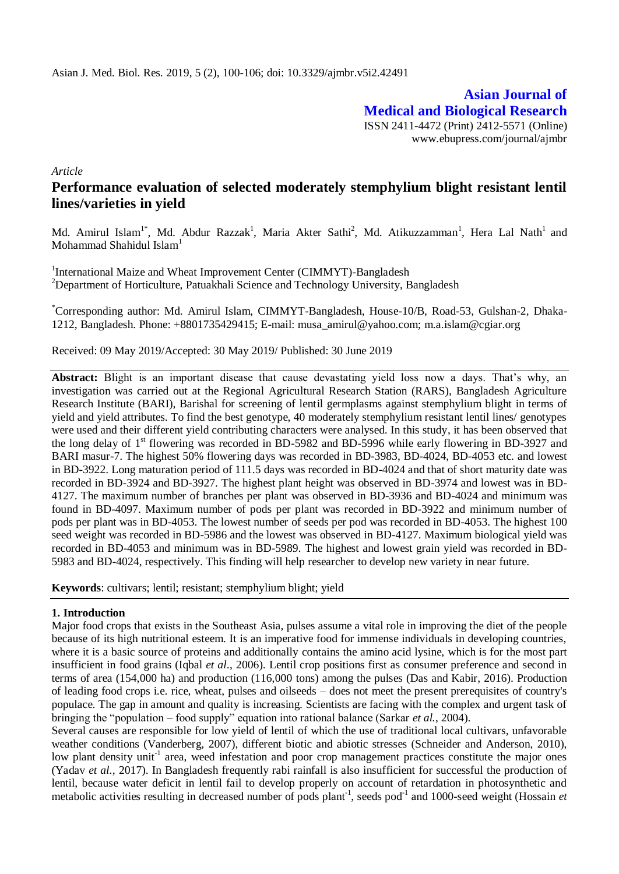**Asian Journal of Medical and Biological Research** ISSN 2411-4472 (Print) 2412-5571 (Online) www.ebupress.com/journal/ajmbr

*Article*

# **Performance evaluation of selected moderately stemphylium blight resistant lentil lines/varieties in yield**

Md. Amirul Islam<sup>1\*</sup>, Md. Abdur Razzak<sup>1</sup>, Maria Akter Sathi<sup>2</sup>, Md. Atikuzzamman<sup>1</sup>, Hera Lal Nath<sup>1</sup> and Mohammad Shahidul Islam $<sup>1</sup>$ </sup>

<sup>1</sup>International Maize and Wheat Improvement Center (CIMMYT)-Bangladesh <sup>2</sup>Department of Horticulture, Patuakhali Science and Technology University, Bangladesh

\*Corresponding author: Md. Amirul Islam, CIMMYT-Bangladesh, House-10/B, Road-53, Gulshan-2, Dhaka-1212, Bangladesh. Phone: +8801735429415; E-mail: musa\_amirul@yahoo.com; m.a.islam@cgiar.org

Received: 09 May 2019/Accepted: 30 May 2019/ Published: 30 June 2019

**Abstract:** Blight is an important disease that cause devastating yield loss now a days. That's why, an investigation was carried out at the Regional Agricultural Research Station (RARS), Bangladesh Agriculture Research Institute (BARI), Barishal for screening of lentil germplasms against stemphylium blight in terms of yield and yield attributes. To find the best genotype, 40 moderately stemphylium resistant lentil lines/ genotypes were used and their different yield contributing characters were analysed. In this study, it has been observed that the long delay of 1<sup>st</sup> flowering was recorded in BD-5982 and BD-5996 while early flowering in BD-3927 and BARI masur-7. The highest 50% flowering days was recorded in BD-3983, BD-4024, BD-4053 etc. and lowest in BD-3922. Long maturation period of 111.5 days was recorded in BD-4024 and that of short maturity date was recorded in BD-3924 and BD-3927. The highest plant height was observed in BD-3974 and lowest was in BD-4127. The maximum number of branches per plant was observed in BD-3936 and BD-4024 and minimum was found in BD-4097. Maximum number of pods per plant was recorded in BD-3922 and minimum number of pods per plant was in BD-4053. The lowest number of seeds per pod was recorded in BD-4053. The highest 100 seed weight was recorded in BD-5986 and the lowest was observed in BD-4127. Maximum biological yield was recorded in BD-4053 and minimum was in BD-5989. The highest and lowest grain yield was recorded in BD-5983 and BD-4024, respectively. This finding will help researcher to develop new variety in near future.

**Keywords**: cultivars; lentil; resistant; stemphylium blight; yield

## **1. Introduction**

Major food crops that exists in the Southeast Asia, pulses assume a vital role in improving the diet of the people because of its high nutritional esteem. It is an imperative food for immense individuals in developing countries, where it is a basic source of proteins and additionally contains the amino acid lysine, which is for the most part insufficient in food grains (Iqbal *et al*., 2006). Lentil crop positions first as consumer preference and second in terms of area (154,000 ha) and production (116,000 tons) among the pulses (Das and Kabir, 2016). Production of leading food crops i.e. rice, wheat, pulses and oilseeds – does not meet the present prerequisites of country's populace. The gap in amount and quality is increasing. Scientists are facing with the complex and urgent task of bringing the "population – food supply" equation into rational balance (Sarkar *et al.*, 2004).

Several causes are responsible for low yield of lentil of which the use of traditional local cultivars, unfavorable weather conditions (Vanderberg, 2007), different biotic and abiotic stresses (Schneider and Anderson, 2010), low plant density unit<sup>-1</sup> area, weed infestation and poor crop management practices constitute the major ones (Yadav *et al.*, 2017). In Bangladesh frequently rabi rainfall is also insufficient for successful the production of lentil, because water deficit in lentil fail to develop properly on account of retardation in photosynthetic and metabolic activities resulting in decreased number of pods plant<sup>-1</sup>, seeds pod<sup>-1</sup> and 1000-seed weight (Hossain *et*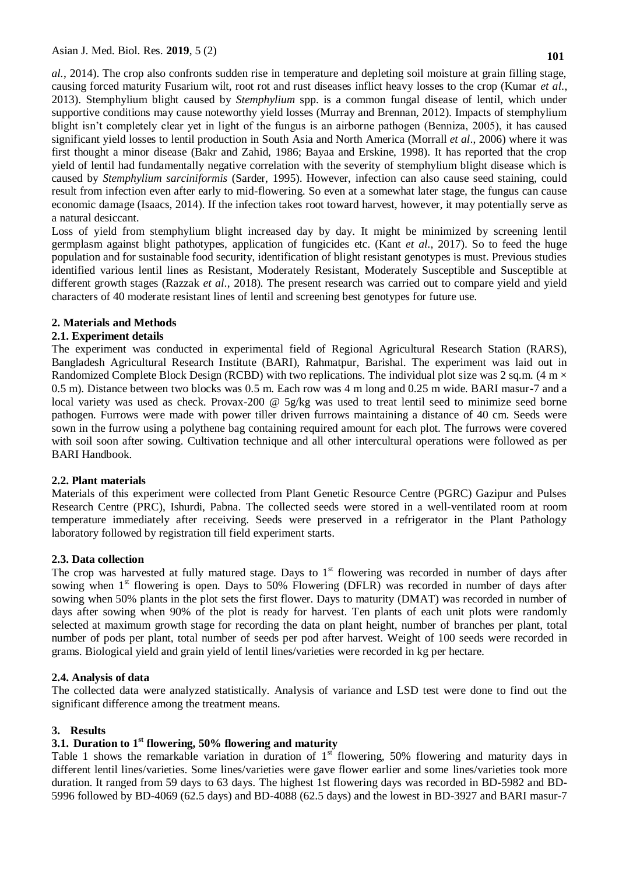*al.*, 2014). The crop also confronts sudden rise in temperature and depleting soil moisture at grain filling stage, causing forced maturity Fusarium wilt, root rot and rust diseases inflict heavy losses to the crop (Kumar *et al.*, 2013). Stemphylium blight caused by *Stemphylium* spp. is a common fungal disease of lentil, which under supportive conditions may cause noteworthy yield losses (Murray and Brennan, 2012). Impacts of stemphylium blight isn't completely clear yet in light of the fungus is an airborne pathogen (Benniza, 2005), it has caused significant yield losses to lentil production in South Asia and North America (Morrall *et al*., 2006) where it was first thought a minor disease (Bakr and Zahid, 1986; Bayaa and Erskine, 1998). It has reported that the crop yield of lentil had fundamentally negative correlation with the severity of stemphylium blight disease which is caused by *Stemphylium sarciniformis* (Sarder, 1995). However, infection can also cause seed staining, could result from infection even after early to mid-flowering. So even at a somewhat later stage, the fungus can cause economic damage (Isaacs, 2014). If the infection takes root toward harvest, however, it may potentially serve as a natural desiccant.

Loss of yield from stemphylium blight increased day by day. It might be minimized by screening lentil germplasm against blight pathotypes, application of fungicides etc. (Kant *et al*., 2017). So to feed the huge population and for sustainable food security, identification of blight resistant genotypes is must. Previous studies identified various lentil lines as Resistant, Moderately Resistant, Moderately Susceptible and Susceptible at different growth stages (Razzak *et al*., 2018). The present research was carried out to compare yield and yield characters of 40 moderate resistant lines of lentil and screening best genotypes for future use.

## **2. Materials and Methods**

# **2.1. Experiment details**

The experiment was conducted in experimental field of Regional Agricultural Research Station (RARS), Bangladesh Agricultural Research Institute (BARI), Rahmatpur, Barishal. The experiment was laid out in Randomized Complete Block Design (RCBD) with two replications. The individual plot size was 2 sq.m. (4 m  $\times$ 0.5 m). Distance between two blocks was 0.5 m. Each row was 4 m long and 0.25 m wide. BARI masur-7 and a local variety was used as check. Provax-200  $\omega$  5g/kg was used to treat lentil seed to minimize seed borne pathogen. Furrows were made with power tiller driven furrows maintaining a distance of 40 cm. Seeds were sown in the furrow using a polythene bag containing required amount for each plot. The furrows were covered with soil soon after sowing. Cultivation technique and all other intercultural operations were followed as per BARI Handbook.

## **2.2. Plant materials**

Materials of this experiment were collected from Plant Genetic Resource Centre (PGRC) Gazipur and Pulses Research Centre (PRC), Ishurdi, Pabna. The collected seeds were stored in a well-ventilated room at room temperature immediately after receiving. Seeds were preserved in a refrigerator in the Plant Pathology laboratory followed by registration till field experiment starts.

## **2.3. Data collection**

The crop was harvested at fully matured stage. Days to  $1<sup>st</sup>$  flowering was recorded in number of days after sowing when 1<sup>st</sup> flowering is open. Days to 50% Flowering (DFLR) was recorded in number of days after sowing when 50% plants in the plot sets the first flower. Days to maturity (DMAT) was recorded in number of days after sowing when 90% of the plot is ready for harvest. Ten plants of each unit plots were randomly selected at maximum growth stage for recording the data on plant height, number of branches per plant, total number of pods per plant, total number of seeds per pod after harvest. Weight of 100 seeds were recorded in grams. Biological yield and grain yield of lentil lines/varieties were recorded in kg per hectare.

## **2.4. Analysis of data**

The collected data were analyzed statistically. Analysis of variance and LSD test were done to find out the significant difference among the treatment means.

## **3. Results**

# **3.1. Duration to 1st flowering, 50% flowering and maturity**

Table 1 shows the remarkable variation in duration of  $1<sup>st</sup>$  flowering, 50% flowering and maturity days in different lentil lines/varieties. Some lines/varieties were gave flower earlier and some lines/varieties took more duration. It ranged from 59 days to 63 days. The highest 1st flowering days was recorded in BD-5982 and BD-5996 followed by BD-4069 (62.5 days) and BD-4088 (62.5 days) and the lowest in BD-3927 and BARI masur-7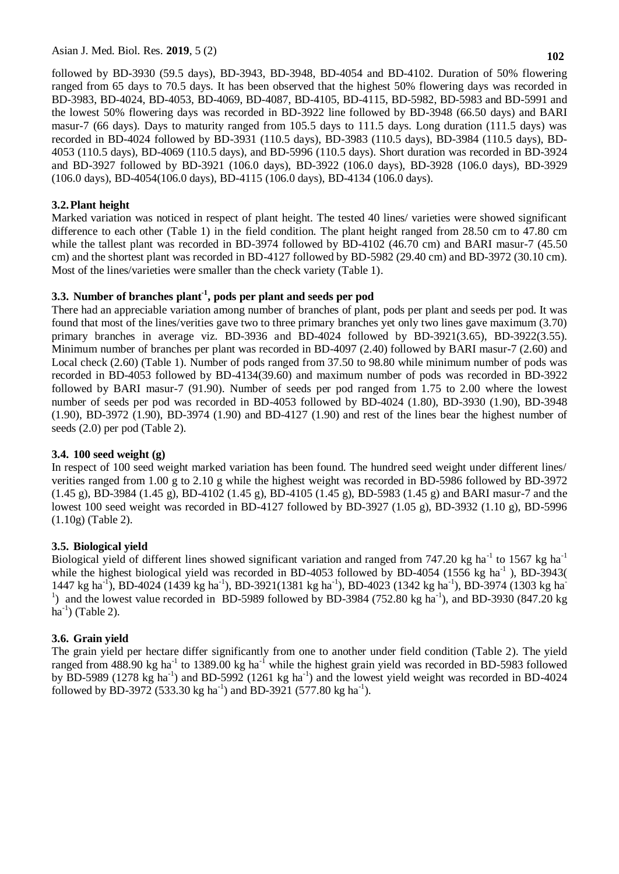followed by BD-3930 (59.5 days), BD-3943, BD-3948, BD-4054 and BD-4102. Duration of 50% flowering ranged from 65 days to 70.5 days. It has been observed that the highest 50% flowering days was recorded in BD-3983, BD-4024, BD-4053, BD-4069, BD-4087, BD-4105, BD-4115, BD-5982, BD-5983 and BD-5991 and the lowest 50% flowering days was recorded in BD-3922 line followed by BD-3948 (66.50 days) and BARI masur-7 (66 days). Days to maturity ranged from 105.5 days to 111.5 days. Long duration (111.5 days) was recorded in BD-4024 followed by BD-3931 (110.5 days), BD-3983 (110.5 days), BD-3984 (110.5 days), BD-4053 (110.5 days), BD-4069 (110.5 days), and BD-5996 (110.5 days). Short duration was recorded in BD-3924 and BD-3927 followed by BD-3921 (106.0 days), BD-3922 (106.0 days), BD-3928 (106.0 days), BD-3929 (106.0 days), BD-4054(106.0 days), BD-4115 (106.0 days), BD-4134 (106.0 days).

# **3.2.Plant height**

Marked variation was noticed in respect of plant height. The tested 40 lines/ varieties were showed significant difference to each other (Table 1) in the field condition. The plant height ranged from 28.50 cm to 47.80 cm while the tallest plant was recorded in BD-3974 followed by BD-4102 (46.70 cm) and BARI masur-7 (45.50 cm) and the shortest plant was recorded in BD-4127 followed by BD-5982 (29.40 cm) and BD-3972 (30.10 cm). Most of the lines/varieties were smaller than the check variety (Table 1).

# **3.3. Number of branches plant-1 , pods per plant and seeds per pod**

There had an appreciable variation among number of branches of plant, pods per plant and seeds per pod. It was found that most of the lines/verities gave two to three primary branches yet only two lines gave maximum (3.70) primary branches in average viz. BD-3936 and BD-4024 followed by BD-3921(3.65), BD-3922(3.55). Minimum number of branches per plant was recorded in BD-4097 (2.40) followed by BARI masur-7 (2.60) and Local check (2.60) (Table 1). Number of pods ranged from 37.50 to 98.80 while minimum number of pods was recorded in BD-4053 followed by BD-4134(39.60) and maximum number of pods was recorded in BD-3922 followed by BARI masur-7 (91.90). Number of seeds per pod ranged from 1.75 to 2.00 where the lowest number of seeds per pod was recorded in BD-4053 followed by BD-4024 (1.80), BD-3930 (1.90), BD-3948 (1.90), BD-3972 (1.90), BD-3974 (1.90) and BD-4127 (1.90) and rest of the lines bear the highest number of seeds (2.0) per pod (Table 2).

## **3.4. 100 seed weight (g)**

In respect of 100 seed weight marked variation has been found. The hundred seed weight under different lines/ verities ranged from 1.00 g to 2.10 g while the highest weight was recorded in BD-5986 followed by BD-3972 (1.45 g), BD-3984 (1.45 g), BD-4102 (1.45 g), BD-4105 (1.45 g), BD-5983 (1.45 g) and BARI masur-7 and the lowest 100 seed weight was recorded in BD-4127 followed by BD-3927 (1.05 g), BD-3932 (1.10 g), BD-5996 (1.10g) (Table 2).

# **3.5. Biological yield**

Biological yield of different lines showed significant variation and ranged from 747.20 kg ha<sup>-1</sup> to 1567 kg ha<sup>-1</sup> while the highest biological yield was recorded in BD-4053 followed by BD-4054 (1556 kg ha<sup>-1</sup>), BD-3943( 1447 kg ha<sup>-1</sup>), BD-4024 (1439 kg ha<sup>-1</sup>), BD-3921(1381 kg ha<sup>-1</sup>), BD-4023 (1342 kg ha<sup>-1</sup>), BD-3974 (1303 kg ha<sup>-1</sup>) <sup>1</sup>) and the lowest value recorded in BD-5989 followed by BD-3984 (752.80 kg ha<sup>-1</sup>), and BD-3930 (847.20 kg  $ha^{-1}$ ) (Table 2).

# **3.6. Grain yield**

The grain yield per hectare differ significantly from one to another under field condition (Table 2). The yield ranged from 488.90 kg ha<sup>-1</sup> to 1389.00 kg ha<sup>-1</sup> while the highest grain yield was recorded in BD-5983 followed by BD-5989 (1278 kg ha<sup>-1</sup>) and BD-5992 (1261 kg ha<sup>-1</sup>) and the lowest yield weight was recorded in BD-4024 followed by BD-3972 (533.30 kg ha<sup>-1</sup>) and BD-3921 (577.80 kg ha<sup>-1</sup>).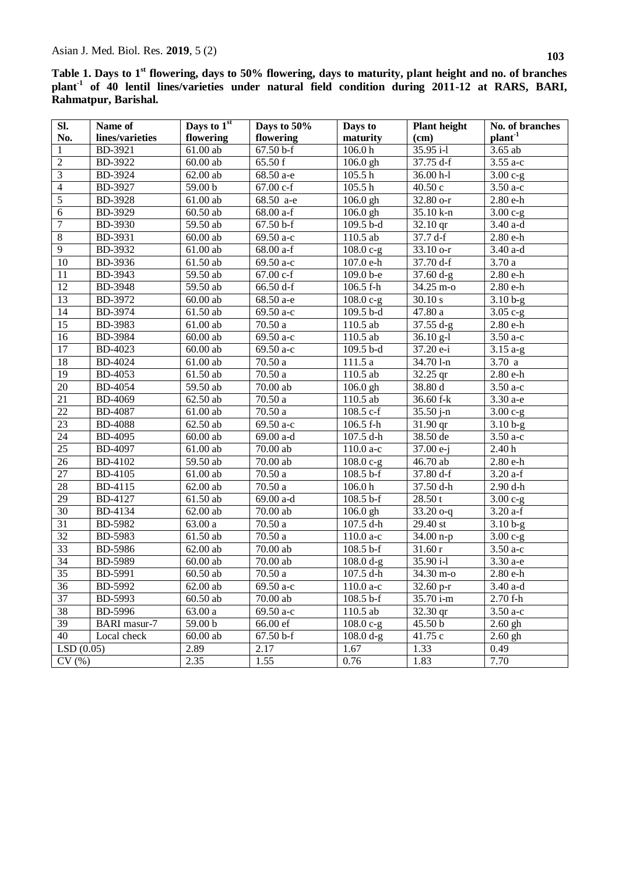**Table 1. Days to 1st flowering, days to 50% flowering, days to maturity, plant height and no. of branches plant-1 of 40 lentil lines/varieties under natural field condition during 2011-12 at RARS, BARI, Rahmatpur, Barishal.**

| Sl.             | Name of         | Days to 1 <sup>st</sup> | Days to 50%            | Days to                | <b>Plant</b> height | No. of branches       |
|-----------------|-----------------|-------------------------|------------------------|------------------------|---------------------|-----------------------|
| No.             | lines/varieties | flowering               | flowering              | maturity               | (cm)                | $plant-1$             |
| $\mathbf{1}$    | BD-3921         | $61.00$ ab              | 67.50 b-f              | 106.0 <sub>h</sub>     | $35.95 i-1$         | 3.65 ab               |
| $\overline{2}$  | BD-3922         | $60.00$ ab              | 65.50 f                | $106.0$ gh             | 37.75 d-f           | $3.55a-c$             |
| $\overline{3}$  | BD-3924         | 62.00ab                 | 68.50 a-e              | 105.5 h                | 36.00 h-l           | $3.00 c-g$            |
| $\overline{4}$  | BD-3927         | 59.00 b                 | 67.00 c-f              | 105.5h                 | 40.50c              | $3.50a-c$             |
| $\overline{5}$  | <b>BD-3928</b>  | $61.00$ ab              | $\overline{68.50}$ a-e | $106.0$ gh             | 32.80 o-r           | 2.80 e-h              |
| $\overline{6}$  | BD-3929         | $60.50$ ab              | 68.00 a-f              | 106.0 gh               | 35.10 k-n           | $3.00 c-g$            |
| $\overline{7}$  | <b>BD-3930</b>  | 59.50 ab                | 67.50 b-f              | 109.5 b-d              | 32.10 qr            | 3.40 a-d              |
| $\overline{8}$  | BD-3931         | $60.00$ ab              | 69.50 a-c              | 110.5 ab               | 37.7 d-f            | 2.80 e-h              |
| $\overline{9}$  | BD-3932         | 61.00 ab                | 68.00 a-f              | $108.0 c-g$            | 33.10 o-r           | $3.40$ a-d            |
| 10              | BD-3936         | 61.50 ab                | $\overline{69.50}$ a-c | 107.0 e-h              | 37.70 d-f           | $3.70\,\mathrm{a}$    |
| 11              | BD-3943         | 59.50 ab                | 67.00 c-f              | 109.0 b-e              | $37.60 d-g$         | 2.80 e-h              |
| 12              | <b>BD-3948</b>  | 59.50 ab                | 66.50 d-f              | 106.5 f-h              | 34.25 m-o           | 2.80 e-h              |
| 13              | BD-3972         | $60.00$ ab              | 68.50 a-e              | $108.0 c-g$            | 30.10 s             | $3.10b-g$             |
| 14              | BD-3974         | 61.50 ab                | 69.50 a-c              | 109.5 b-d              | 47.80 a             | $3.05c-g$             |
| 15              | BD-3983         | $61.00$ ab              | 70.50 a                | 110.5 ab               | $37.55 d-g$         | 2.80 e-h              |
| 16              | BD-3984         | $60.00$ ab              | 69.50 a-c              | 110.5 ab               | $36.10$ g-l         | 3.50 a-c              |
| 17              | BD-4023         | $60.00$ ab              | 69.50 a-c              | 109.5 b-d              | 37.20 e-i           | $3.15a-g$             |
| 18              | <b>BD-4024</b>  | 61.00 ab                | 70.50a                 | 111.5a                 | 34.70 l-n           | 3.70a                 |
| 19              | <b>BD-4053</b>  | 61.50 ab                | 70.50 a                | 110.5 ab               | 32.25 qr            | 2.80 e-h              |
| $20\,$          | <b>BD-4054</b>  | 59.50 ab                | 70.00 ab               | 106.0 gh               | 38.80 d             | $3.50a-c$             |
| 21              | <b>BD-4069</b>  | 62.50 ab                | 70.50a                 | 110.5 ab               | 36.60 f-k           | 3.30 a-e              |
| $22\,$          | <b>BD-4087</b>  | 61.00 ab                | 70.50a                 | 108.5 c-f              | $35.50 j-n$         | $3.00 c-g$            |
| 23              | <b>BD-4088</b>  | 62.50 ab                | 69.50 a-c              | 106.5 f-h              | 31.90 qr            | $3.10b-g$             |
| $24\,$          | <b>BD-4095</b>  | $60.00$ ab              | 69.00 a-d              | 107.5 d-h              | 38.50 de            | $3.50a-c$             |
| $\overline{25}$ | <b>BD-4097</b>  | $61.00$ ab              | 70.00 ab               | $110.0 a-c$            | 37.00 e-j           | 2.40h                 |
| $26\,$          | <b>BD-4102</b>  | 59.50 ab                | $\overline{70.00}$ ab  | $108.0 c-g$            | 46.70 ab            | 2.80 e-h              |
| $\overline{27}$ | <b>BD-4105</b>  | 61.00 ab                | 70.50a                 | $108.5 b-f$            | 37.80 d-f           | $3.20$ a-f            |
| 28              | BD-4115         | 62.00 ab                | $\overline{70.50}$ a   | 106.0 <sub>h</sub>     | 37.50 d-h           | $2.90$ d-h            |
| $\overline{29}$ | <b>BD-4127</b>  | 61.50 ab                | 69.00 a-d              | 108.5 b-f              | 28.50t              | $\frac{1}{3.00}$ c-g  |
| $\overline{30}$ | <b>BD-4134</b>  | 62.00ab                 | $\overline{7}0.00$ ab  | $\overline{106.0}$ gh  | $33.20$ o-q         | $3.20$ a-f            |
| $\overline{31}$ | <b>BD-5982</b>  | 63.00 a                 | $\overline{70.50}$ a   | 107.5 d-h              | 29.40 st            | $3.10b-g$             |
| $\overline{32}$ | <b>BD-5983</b>  | 61.50 ab                | 70.50a                 | $\overline{1}10.0$ a-c | $34.00 n-p$         | $\overline{3.00}$ c-g |
| $\overline{33}$ | BD-5986         | $62.00$ ab              | 70.00 ab               | $108.5 b-f$            | 31.60r              | $3.50$ a-c            |
| $\overline{34}$ | <b>BD-5989</b>  | $60.00$ ab              | 70.00 ab               | 108.0 d-g              | 35.90 i-l           | 3.30 a-e              |
| $\overline{35}$ | BD-5991         | $60.50$ ab              | 70.50a                 | 107.5 d-h              | 34.30 m-o           | $2.80e-h$             |
| $\overline{36}$ | <b>BD-5992</b>  | $62.00$ ab              | 69.50 a-c              | 110.0 a-c              | 32.60 p-r           | $3.40$ a-d            |
| 37              | $BD-5993$       | $60.50$ ab              | 70.00 ab               | $108.5 b-f$            | 35.70 i-m           | 2.70 f-h              |
| 38              | <b>BD-5996</b>  | 63.00 a                 | 69.50 a-c              | 110.5 ab               | 32.30 qr            | $3.50a-c$             |
| 39              | BARI masur-7    | 59.00 b                 | 66.00 ef               | $108.0 c-g$            | 45.50 b             | $\overline{2.60}$ gh  |
| 40              | Local check     | $60.00$ ab              | $67.50 b-f$            | $\overline{108.0}$ d-g | 41.75 c             | $2.60$ gh             |
| LSD(0.05)       |                 | 2.89                    | 2.17                   | 1.67                   | 1.33                | 0.49                  |
| CV(%)           |                 | 2.35                    | 1.55                   | 0.76                   | 1.83                | 7.70                  |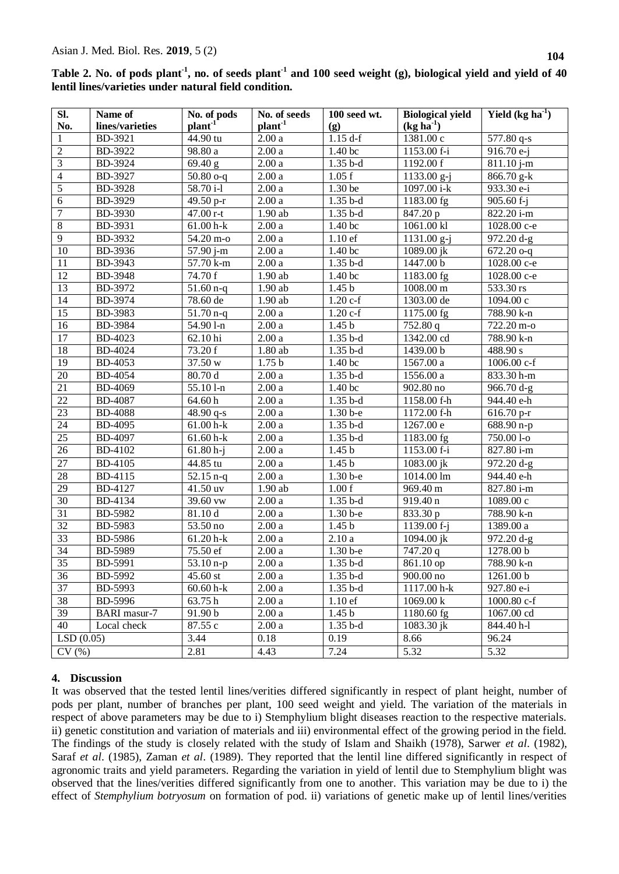| Table 2. No. of pods plant <sup>-1</sup> , no. of seeds plant <sup>-1</sup> and 100 seed weight (g), biological yield and yield of 40 |  |
|---------------------------------------------------------------------------------------------------------------------------------------|--|
| lentil lines/varieties under natural field condition.                                                                                 |  |

| Sl.             | Name of             | No. of pods                   | No. of seeds        | 100 seed wt.                        | <b>Biological yield</b> | Yield $(kg ha1)$         |
|-----------------|---------------------|-------------------------------|---------------------|-------------------------------------|-------------------------|--------------------------|
| No.             | lines/varieties     | plant <sup>1</sup>            | plan <sup>1</sup>   | (g)                                 | $(kg ha-1)$             |                          |
| $\mathbf{1}$    | BD-3921             | 44.90 tu                      | 2.00a               | $1.15 d-f$                          | 1381.00 c               | 577.80 q-s               |
| $\overline{2}$  | BD-3922             | 98.80 a                       | $2.00\,\mathrm{a}$  | 1.40 bc                             | 1153.00 f-i             | 916.70 e-j               |
| $\overline{3}$  | BD-3924             | $\sqrt{69.40}$ g              | 2.00a               | $1.35b-d$                           | 1192.00 f               | $811.10$ j-m             |
| $\overline{4}$  | BD-3927             | $50.80$ o-q                   | $2.00\,\mathrm{a}$  | 1.05 f                              | 1133.00 g-j             | $866.70 \text{ g-k}$     |
| $\overline{5}$  | <b>BD-3928</b>      | 58.70 i-l                     | $2.00\,\mathrm{a}$  | 1.30 be                             | 1097.00 i-k             | 933.30 e-i               |
| $\overline{6}$  | BD-3929             | 49.50 p-r                     | 2.00a               | $1.35b-d$                           | 1183.00 fg              | $905.60 f - j$           |
| $\overline{7}$  | BD-3930             | $47.00$ r-t                   | $1.90$ ab           | $1.35b-d$                           | 847.20 p                | 822.20 i-m               |
| $\overline{8}$  | BD-3931             | $61.00 h - k$                 | $2.00\,\mathrm{a}$  | 1.40 bc                             | 1061.00 kl              | 1028.00 c-e              |
| $\overline{9}$  | BD-3932             | 54.20 m-o                     | $2.00\,\mathrm{a}$  | $1.10 \text{ }\overline{\text{ef}}$ | 1131.00 g-j             | 972.20 d-g               |
| $\overline{10}$ | BD-3936             | 57.90 j-m                     | 2.00a               | 1.40 bc                             | 1089.00 jk              | $672.20$ o-q             |
| 11              | BD-3943             | 57.70 k-m                     | $2.00\,\mathrm{a}$  | $1.35b-d$                           | 1447.00 b               | $\overline{1028.00}$ c-e |
| 12              | <b>BD-3948</b>      | 74.70 f                       | 1.90 ab             | 1.40 bc                             | 1183.00 fg              | 1028.00 с-е              |
| $\overline{13}$ | BD-3972             | $51.60$ n-q                   | 1.90 ab             | 1.45 <sub>b</sub>                   | 1008.00 m               | 533.30 rs                |
| 14              | BD-3974             | 78.60 de                      | 1.90 ab             | $1.20 c-f$                          | 1303.00 de              | 1094.00 с                |
| $\overline{15}$ | BD-3983             | $\frac{1}{51.70 n}$ -q        | $2.00\,\mathrm{a}$  | $1.20 c-f$                          | 1175.00 fg              | 788.90 k-n               |
| 16              | BD-3984             | 54.90 l-n                     | $2.00\,\mathrm{a}$  | 1.45 <sub>b</sub>                   | 752.80 q                | 722.20 m-o               |
| $\overline{17}$ | BD-4023             | 62.10 hi                      | $2.00\,\mathrm{a}$  | $1.35b-d$                           | 1342.00 cd              | 788.90 k-n               |
| 18              | <b>BD-4024</b>      | 73.20 f                       | $1.80$ ab           | $1.35b-d$                           | 1439.00 b               | $\frac{1}{488.90}$ s     |
| $\overline{19}$ | <b>BD-4053</b>      | 37.50 w                       | 1.75 <sub>b</sub>   | 1.40 bc                             | 1567.00 a               | 1006.00 c-f              |
| $\overline{20}$ | <b>BD-4054</b>      | 80.70 d                       | $2.00\,\mathrm{a}$  | $1.35b-d$                           | 1556.00 a               | 833.30 h-m               |
| $\overline{21}$ | <b>BD-4069</b>      | 55.10 l-n                     | $2.00\,\mathrm{a}$  | 1.40 bc                             | 902.80 no               | $966.70 d-g$             |
| $\overline{22}$ | <b>BD-4087</b>      | 64.60h                        | 2.00a               | $1.35b-d$                           | 1158.00 f-h             | 944.40 e-h               |
| 23              | <b>BD-4088</b>      | 48.90 $q-s$                   | 2.00a               | 1.30 b-e                            | 1172.00 f-h             | $616.70$ p-r             |
| $24\,$          | <b>BD-4095</b>      | $61.00 h - k$                 | $2.00\,\mathrm{a}$  | $1.35b-d$                           | 1267.00 e               | $688.90 n-p$             |
| $\overline{25}$ | <b>BD-4097</b>      | $61.60 h - k$                 | $2.00\,\mathrm{a}$  | $1.35b-d$                           | 1183.00 fg              | 750.00 l-o               |
| $\overline{26}$ | <b>BD-4102</b>      | $61.80 h-j$                   | $2.00\,\mathrm{a}$  | 1.45 <sub>b</sub>                   | 1153.00 f-i             | 827.80 i-m               |
| $\overline{27}$ | <b>BD-4105</b>      | 44.85 tu                      | 2.00a               | 1.45 <sub>b</sub>                   | 1083.00 jk              | 972.20 d-g               |
| 28              | BD-4115             | $\frac{52.15 \text{ n-q}}{2}$ | 2.00a               | 1.30 b-e                            | 1014.00 lm              | 944.40 e-h               |
| 29              | BD-4127             | $\overline{41.50}$ uv         | 1.90 ab             | 1.00 f                              | 969.40 m                | $827.80 i-m$             |
| 30              | BD-4134             | 39.60 vw                      | $2.00\,\mathrm{a}$  | $1.35b-d$                           | 919.40 n                | 1089.00 с                |
| 31              | BD-5982             | 81.10 d                       | 2.00a               | 1.30 b-e                            | 833.30 p                | $788.90 k-n$             |
| 32              | <b>BD-5983</b>      | 53.50 no                      | $2.00\,\mathrm{a}$  | 1.45 <sub>b</sub>                   | 1139.00 f-j             | 1389.00 a                |
| $\overline{33}$ | BD-5986             | $61.20 h-k$                   | $2.00\,\mathrm{a}$  | 2.10a                               | 1094.00 jk              | $972.20 d-g$             |
| $\overline{34}$ | <b>BD-5989</b>      | 75.50 ef                      | $\overline{2.00}$ a | 1.30 b-e                            | 747.20 q                | 1278.00 b                |
| 35              | BD-5991             | $\frac{1}{53.10}$ n-p         | $2.00\ \mathrm{a}$  | $1.35b-d$                           | 861.10 op               | 788.90 k-n               |
| 36              | BD-5992             | 45.60 st                      | 2.00a               | $1.35 b-d$                          | 900.00 no               | 1261.00 b                |
| 37              | BD-5993             | 60.60 h-k                     | 2.00a               | $1.35b-d$                           | 1117.00 h-k             | 927.80 e-i               |
| 38              | $BD-5996$           | 63.75h                        | 2.00a               | $1.10$ ef                           | 1069.00 k               | $1000.80 c-f$            |
| 39              | <b>BARI</b> masur-7 | 91.90 b                       | 2.00a               | 1.45 <sub>b</sub>                   | 1180.60 fg              | 1067.00 cd               |
| 40              | Local check         | 87.55 c                       | 2.00a               | $1.35b-d$                           | 1083.30 jk              | 844.40 h-l               |
| LSD(0.05)       |                     | 3.44                          | 0.18                | 0.19                                | 8.66                    | 96.24                    |
| CV(%)           |                     | 2.81                          | 4.43                | 7.24                                | 5.32                    | 5.32                     |

# **4. Discussion**

It was observed that the tested lentil lines/verities differed significantly in respect of plant height, number of pods per plant, number of branches per plant, 100 seed weight and yield. The variation of the materials in respect of above parameters may be due to i) Stemphylium blight diseases reaction to the respective materials. ii) genetic constitution and variation of materials and iii) environmental effect of the growing period in the field. The findings of the study is closely related with the study of Islam and Shaikh (1978), Sarwer *et al*. (1982), Saraf *et al*. (1985), Zaman *et al*. (1989). They reported that the lentil line differed significantly in respect of agronomic traits and yield parameters. Regarding the variation in yield of lentil due to Stemphylium blight was observed that the lines/verities differed significantly from one to another. This variation may be due to i) the effect of *Stemphylium botryosum* on formation of pod. ii) variations of genetic make up of lentil lines/verities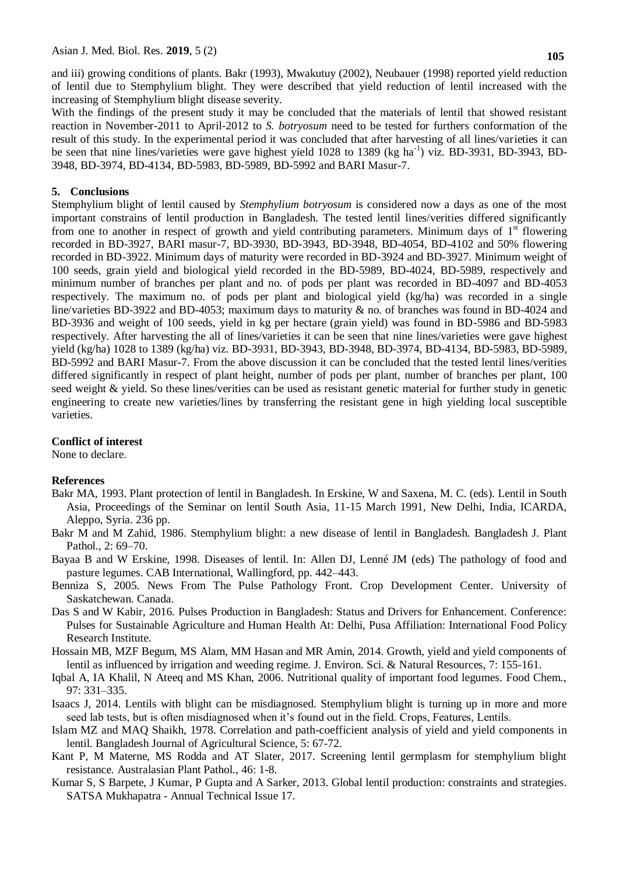and iii) growing conditions of plants. Bakr (1993), Mwakutuy (2002), Neubauer (1998) reported yield reduction of lentil due to Stemphylium blight. They were described that yield reduction of lentil increased with the increasing of Stemphylium blight disease severity.

With the findings of the present study it may be concluded that the materials of lentil that showed resistant reaction in November-2011 to April-2012 to *S. botryosum* need to be tested for furthers conformation of the result of this study. In the experimental period it was concluded that after harvesting of all lines/varieties it can be seen that nine lines/varieties were gave highest yield 1028 to 1389 (kg ha<sup>-1</sup>) viz. BD-3931, BD-3943, BD-3948, BD-3974, BD-4134, BD-5983, BD-5989, BD-5992 and BARI Masur-7.

#### **5. Conclusions**

Stemphylium blight of lentil caused by *Stemphylium botryosum* is considered now a days as one of the most important constrains of lentil production in Bangladesh. The tested lentil lines/verities differed significantly from one to another in respect of growth and yield contributing parameters. Minimum days of  $1<sup>st</sup>$  flowering recorded in BD-3927, BARI masur-7, BD-3930, BD-3943, BD-3948, BD-4054, BD-4102 and 50% flowering recorded in BD-3922. Minimum days of maturity were recorded in BD-3924 and BD-3927. Minimum weight of 100 seeds, grain yield and biological yield recorded in the BD-5989, BD-4024, BD-5989, respectively and minimum number of branches per plant and no. of pods per plant was recorded in BD-4097 and BD-4053 respectively. The maximum no. of pods per plant and biological yield (kg/ha) was recorded in a single line/varieties BD-3922 and BD-4053; maximum days to maturity & no. of branches was found in BD-4024 and BD-3936 and weight of 100 seeds, yield in kg per hectare (grain yield) was found in BD-5986 and BD-5983 respectively. After harvesting the all of lines/varieties it can be seen that nine lines/varieties were gave highest yield (kg/ha) 1028 to 1389 (kg/ha) viz. BD-3931, BD-3943, BD-3948, BD-3974, BD-4134, BD-5983, BD-5989, BD-5992 and BARI Masur-7. From the above discussion it can be concluded that the tested lentil lines/verities differed significantly in respect of plant height, number of pods per plant, number of branches per plant, 100 seed weight & yield. So these lines/verities can be used as resistant genetic material for further study in genetic engineering to create new varieties/lines by transferring the resistant gene in high yielding local susceptible varieties.

#### **Conflict of interest**

None to declare.

#### **References**

- Bakr MA, 1993. Plant protection of lentil in Bangladesh. In Erskine, W and Saxena, M. C. (eds). Lentil in South Asia, Proceedings of the Seminar on lentil South Asia, 11-15 March 1991, New Delhi, India, ICARDA, Aleppo, Syria. 236 pp.
- Bakr M and M Zahid, 1986. Stemphylium blight: a new disease of lentil in Bangladesh. Bangladesh J. Plant Pathol., 2: 69–70.
- Bayaa B and W Erskine, 1998. Diseases of lentil. In: Allen DJ, Lenné JM (eds) The pathology of food and pasture legumes. CAB International, Wallingford, pp. 442–443.
- Benniza S, 2005. News From The Pulse Pathology Front. Crop Development Center. University of Saskatchewan. Canada.
- Das S and W Kabir, 2016. Pulses Production in Bangladesh: Status and Drivers for Enhancement. Conference: Pulses for Sustainable Agriculture and Human Health At: Delhi, Pusa Affiliation: International Food Policy Research Institute.
- Hossain MB, MZF Begum, MS Alam, MM Hasan and MR Amin, 2014. Growth, yield and yield components of lentil as influenced by irrigation and weeding regime. J. Environ. Sci. & Natural Resources, 7: 155-161.
- Iqbal A, IA Khalil, N Ateeq and MS Khan, 2006. Nutritional quality of important food legumes. Food Chem., 97: 331–335.
- Isaacs J, 2014. Lentils with blight can be misdiagnosed. Stemphylium blight is turning up in more and more seed lab tests, but is often misdiagnosed when it's found out in the field. Crops, Features, Lentils.
- Islam MZ and MAQ Shaikh, 1978. Correlation and path-coefficient analysis of yield and yield components in lentil. Bangladesh Journal of Agricultural Science, 5: 67-72.
- Kant P, M Materne, MS Rodda and AT Slater, 2017. Screening lentil germplasm for stemphylium blight resistance. Australasian Plant Pathol., 46: 1-8.
- Kumar S, S Barpete, J Kumar, P Gupta and A Sarker, 2013. Global lentil production: constraints and strategies. SATSA Mukhapatra - Annual Technical Issue 17.